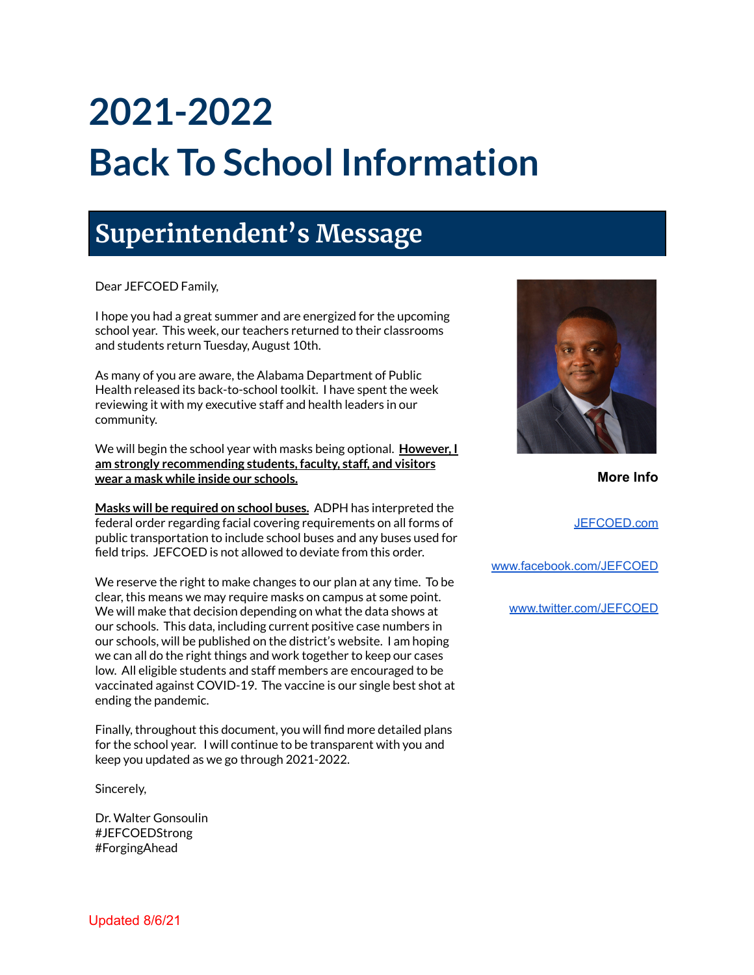# **2021-2022 Back To School Information**

# **Superintendent's Message**

Dear JEFCOED Family,

I hope you had a great summer and are energized for the upcoming school year. This week, our teachers returned to their classrooms and students return Tuesday, August 10th.

As many of you are aware, the Alabama Department of Public Health released its back-to-school toolkit. I have spent the week reviewing it with my executive staff and health leaders in our community.

We will begin the school year with masks being optional. **However, I am strongly recommending students, faculty, staff, and visitors wear a mask while inside our schools.**

**Masks will be required on school buses.** ADPH has interpreted the federal order regarding facial covering requirements on all forms of public transportation to include school buses and any buses used for field trips. JEFCOED is not allowed to deviate from this order.

We reserve the right to make changes to our plan at any time. To be clear, this means we may require masks on campus at some point. We will make that decision depending on what the data shows at our schools. This data, including current positive case numbers in our schools, will be published on the district's website. I am hoping we can all do the right things and work together to keep our cases low. All eligible students and staff members are encouraged to be vaccinated against COVID-19. The vaccine is our single best shot at ending the pandemic.

Finally, throughout this document, you will find more detailed plans for the school year. I will continue to be transparent with you and keep you updated as we go through 2021-2022.

Sincerely,

Dr. Walter Gonsoulin #JEFCOEDStrong #ForgingAhead



**More Info**

[JEFCOED.com](http://jefcoed.com)

[www.facebook.com/JEFCOED](http://www.facebook.com/JEFCOED)

[www.twitter.com/JEFCOED](http://www.twitter.com/JEFCOED)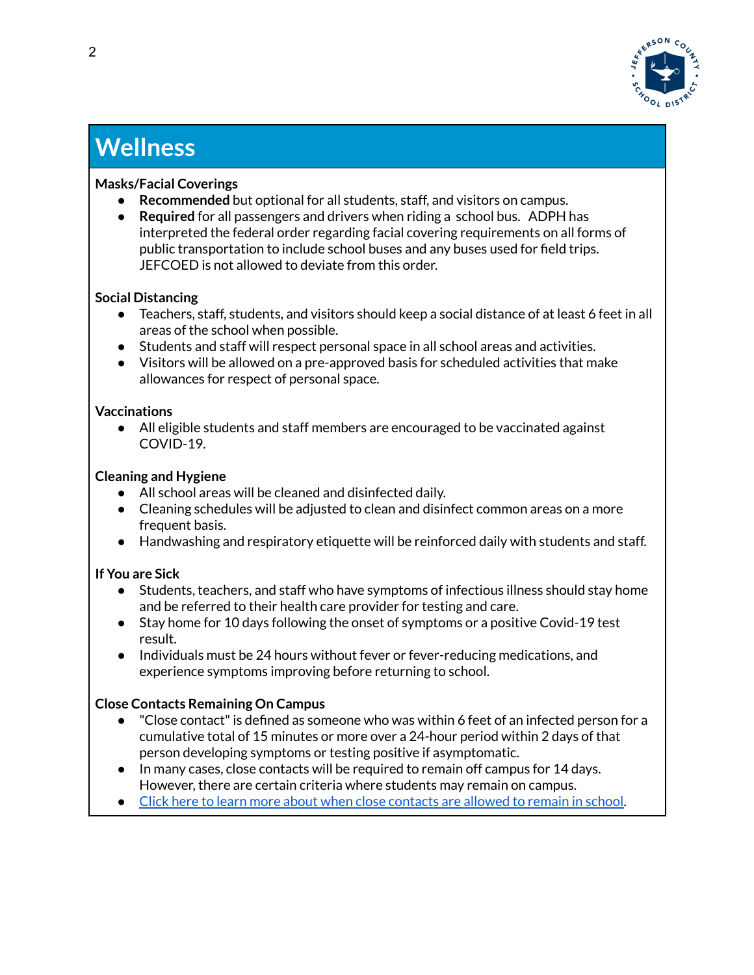

## **Wellness**

#### **Masks/Facial Coverings**

- **Recommended** but optional for all students, staff, and visitors on campus.
- **Required** for all passengers and drivers when riding a school bus. ADPH has interpreted the federal order regarding facial covering requirements on all forms of public transportation to include school buses and any buses used for field trips. JEFCOED is not allowed to deviate from this order.

#### **Social Distancing**

- Teachers, staff, students, and visitors should keep a social distance of at least 6 feet in all areas of the school when possible.
- Students and staff will respect personal space in all school areas and activities.
- Visitors will be allowed on a pre-approved basis for scheduled activities that make allowances for respect of personal space.

#### **Vaccinations**

● All eligible students and staff members are encouraged to be vaccinated against COVID-19.

#### **Cleaning and Hygiene**

- All school areas will be cleaned and disinfected daily.
- Cleaning schedules will be adjusted to clean and disinfect common areas on a more frequent basis.
- Handwashing and respiratory etiquette will be reinforced daily with students and staff.

#### **If You are Sick**

- Students, teachers, and staff who have symptoms of infectious illness should stay home and be referred to their health care provider for testing and care.
- Stay home for 10 days following the onset of symptoms or a positive Covid-19 test result.
- Individuals must be 24 hours without fever or fever-reducing medications, and experience symptoms improving before returning to school.

#### **Close Contacts Remaining On Campus**

- "Close contact" is defined as someone who was within 6 feet of an infected person for a cumulative total of 15 minutes or more over a 24-hour period within 2 days of that person developing symptoms or testing positive if asymptomatic.
- In many cases, close contacts will be required to remain off campus for 14 days. However, there are certain criteria where students may remain on campus.
- Click here to learn more about when close [contacts](https://drive.google.com/file/d/1BQpaZfrn5nCziAtwoQiIT-StdDcZMKVa/view?usp=sharing) are allowed to remain in school.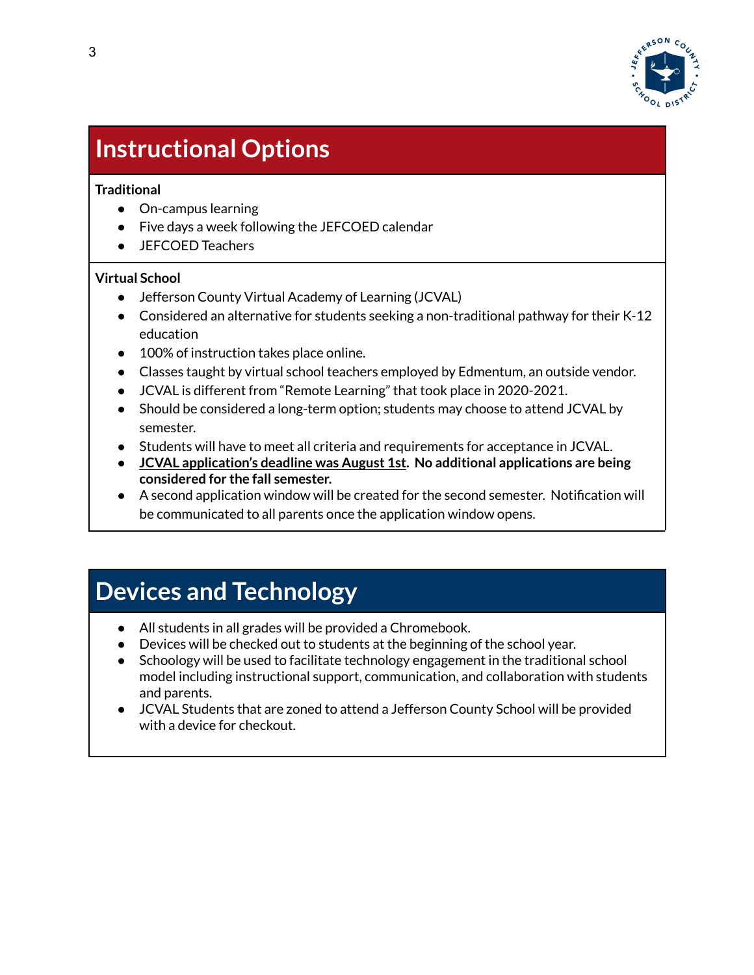

# **Instructional Options**

#### **Traditional**

- On-campus learning
- Five days a week following the JEFCOED calendar
- JEFCOED Teachers

#### **Virtual School**

- Jefferson County Virtual Academy of Learning (JCVAL)
- Considered an alternative for students seeking a non-traditional pathway for their K-12 education
- 100% of instruction takes place online.
- Classes taught by virtual school teachers employed by Edmentum, an outside vendor.
- JCVAL is different from "Remote Learning" that took place in 2020-2021.
- Should be considered a long-term option; students may choose to attend JCVAL by semester.
- Students will have to meet all criteria and requirements for acceptance in JCVAL.
- **JCVAL application's deadline was August 1st. No additional applications are being considered for the fall semester.**
- A second application window will be created for the second semester. Notification will be communicated to all parents once the application window opens.

### **Devices and Technology**

- All students in all grades will be provided a Chromebook.
- Devices will be checked out to students at the beginning of the school year.
- Schoology will be used to facilitate technology engagement in the traditional school model including instructional support, communication, and collaboration with students and parents.
- JCVAL Students that are zoned to attend a Jefferson County School will be provided with a device for checkout.